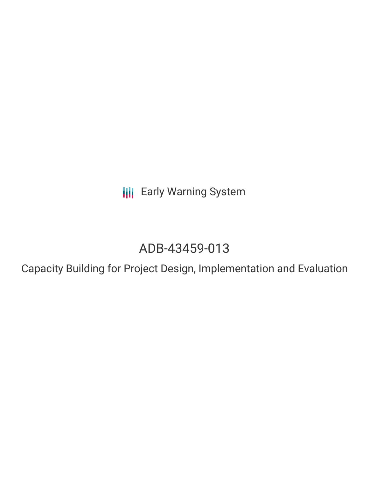**III** Early Warning System

## ADB-43459-013

Capacity Building for Project Design, Implementation and Evaluation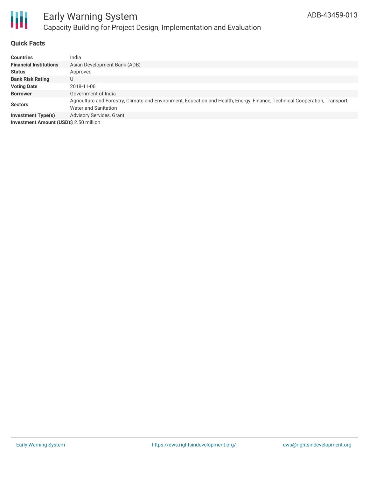

#### **Quick Facts**

Ш

| <b>Countries</b>                             | India                                                                                                                                                      |
|----------------------------------------------|------------------------------------------------------------------------------------------------------------------------------------------------------------|
| <b>Financial Institutions</b>                | Asian Development Bank (ADB)                                                                                                                               |
| <b>Status</b>                                | Approved                                                                                                                                                   |
| <b>Bank Risk Rating</b>                      | U                                                                                                                                                          |
| <b>Voting Date</b>                           | 2018-11-06                                                                                                                                                 |
| <b>Borrower</b>                              | Government of India                                                                                                                                        |
| <b>Sectors</b>                               | Agriculture and Forestry, Climate and Environment, Education and Health, Energy, Finance, Technical Cooperation, Transport,<br><b>Water and Sanitation</b> |
| Investment Type(s)                           | <b>Advisory Services, Grant</b>                                                                                                                            |
| <b>Investment Amount (USD)S 2.50 million</b> |                                                                                                                                                            |

**Investment Amount (USD)**\$ 2.50 million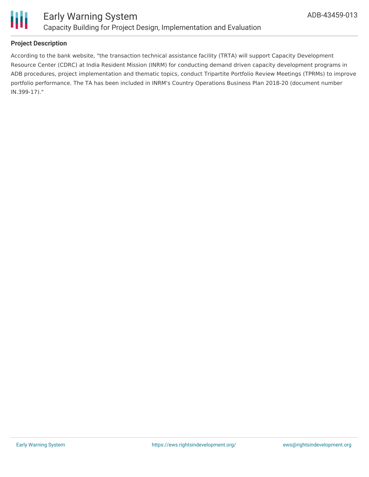

#### **Project Description**

According to the bank website, "the transaction technical assistance facility (TRTA) will support Capacity Development Resource Center (CDRC) at India Resident Mission (INRM) for conducting demand driven capacity development programs in ADB procedures, project implementation and thematic topics, conduct Tripartite Portfolio Review Meetings (TPRMs) to improve portfolio performance. The TA has been included in INRM's Country Operations Business Plan 2018-20 (document number IN.399-17)."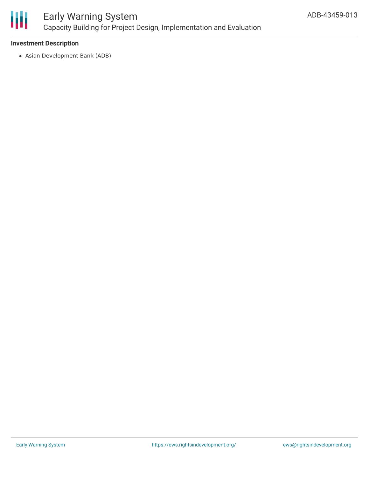

### Early Warning System Capacity Building for Project Design, Implementation and Evaluation

#### **Investment Description**

Asian Development Bank (ADB)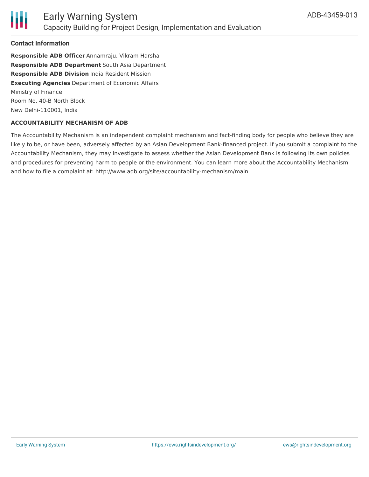

#### **Contact Information**

**Responsible ADB Officer** Annamraju, Vikram Harsha **Responsible ADB Department** South Asia Department **Responsible ADB Division** India Resident Mission **Executing Agencies** Department of Economic Affairs Ministry of Finance Room No. 40-B North Block New Delhi-110001, India

#### **ACCOUNTABILITY MECHANISM OF ADB**

The Accountability Mechanism is an independent complaint mechanism and fact-finding body for people who believe they are likely to be, or have been, adversely affected by an Asian Development Bank-financed project. If you submit a complaint to the Accountability Mechanism, they may investigate to assess whether the Asian Development Bank is following its own policies and procedures for preventing harm to people or the environment. You can learn more about the Accountability Mechanism and how to file a complaint at: http://www.adb.org/site/accountability-mechanism/main